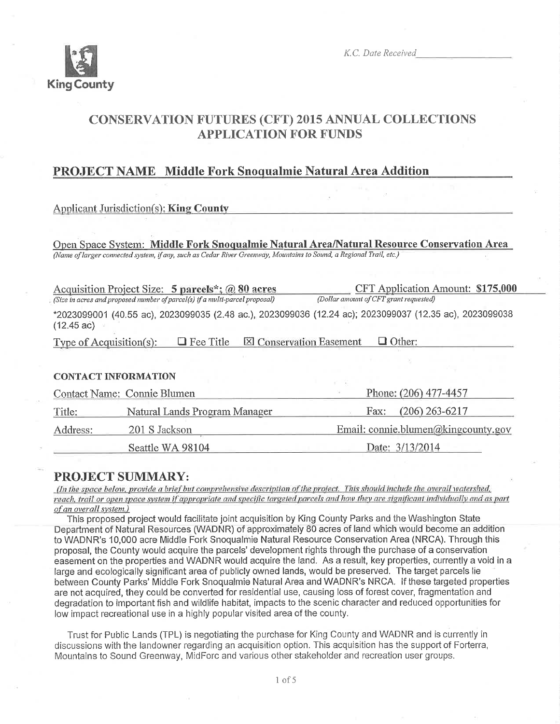

K.C. Date Received

# **CONSERVATION FUTURES (CFT) 2015 ANNUAL COLLECTIONS APPLICATION FOR FUNDS**

# **PROJECT NAME Middle Fork Snoqualmie Natural Area Addition**

# **Applicant Jurisdiction(s): King County**

Open Space System: Middle Fork Snoqualmie Natural Area/Natural Resource Conservation Area (Name of larger connected system, if any, such as Cedar River Greenway, Mountains to Sound, a Regional Trail, etc.)

| Acquisition Project Size: 5 parcels*; @ 80 acres                            |                  |                                | CFT Application Amount: \$175,000                                                                       |  |  |
|-----------------------------------------------------------------------------|------------------|--------------------------------|---------------------------------------------------------------------------------------------------------|--|--|
| (Size in acres and proposed number of parcel(s) if a multi-parcel proposal) |                  |                                | (Dollar amount of CFT grant requested)                                                                  |  |  |
| $(12.45 \text{ ac})$                                                        |                  |                                | *2023099001 (40.55 ac), 2023099035 (2.48 ac.), 2023099036 (12.24 ac); 2023099037 (12.35 ac), 2023099038 |  |  |
| Type of Acquisition(s):                                                     | $\Box$ Fee Title | <b>X</b> Conservation Easement | $\Box$ Other:                                                                                           |  |  |
|                                                                             |                  |                                |                                                                                                         |  |  |

### **CONTACT INFORMATION**

|          | Contact Name: Connie Blumen   | Phone: (206) 477-4457               |  |  |
|----------|-------------------------------|-------------------------------------|--|--|
| Title:   | Natural Lands Program Manager | Fax: $(206) 263 - 6217$             |  |  |
| Address: | 201 S Jackson                 | Email: connie.blumen@kingcounty.gov |  |  |
|          | Seattle WA 98104              | Date: 3/13/2014                     |  |  |

# **PROJECT SUMMARY:**

(In the space below, provide a brief but comprehensive description of the project. This should include the overall watershed, reach, trail or open space system if appropriate and specific targeted parcels and how they are significant individually and as part of an overall system.)

This proposed project would facilitate joint acquisition by King County Parks and the Washington State Department of Natural Resources (WADNR) of approximately 80 acres of land which would become an addition to WADNR's 10,000 acre Middle Fork Snoqualmie Natural Resource Conservation Area (NRCA). Through this proposal, the County would acquire the parcels' development rights through the purchase of a conservation easement on the properties and WADNR would acquire the land. As a result, key properties, currently a void in a large and ecologically significant area of publicly owned lands, would be preserved. The target parcels lie between County Parks' Middle Fork Snogualmie Natural Area and WADNR's NRCA. If these targeted properties are not acquired, they could be converted for residential use, causing loss of forest cover, fragmentation and degradation to important fish and wildlife habitat, impacts to the scenic character and reduced opportunities for low impact recreational use in a highly popular visited area of the county.

Trust for Public Lands (TPL) is negotiating the purchase for King County and WADNR and is currently in discussions with the landowner regarding an acquisition option. This acquisition has the support of Forterra, Mountains to Sound Greenway, MidForc and various other stakeholder and recreation user groups.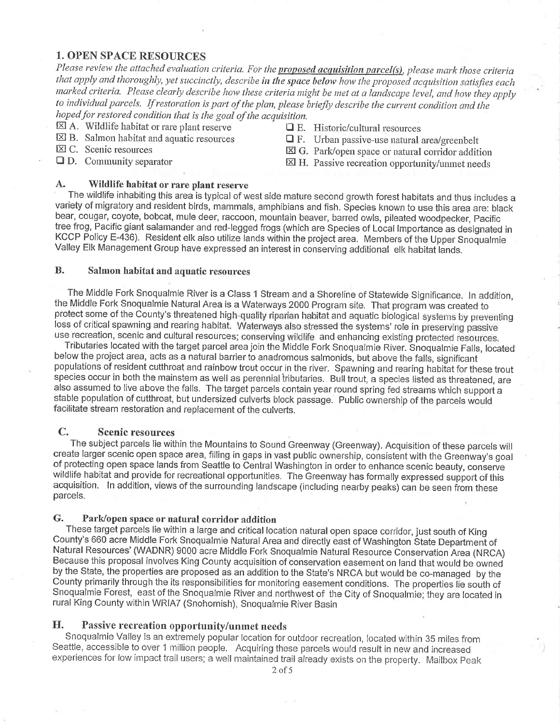## **1. OPEN SPACE RESOURCES**

Please review the attached evaluation criteria. For the proposed acquisition parcel(s), please mark those criteria that apply and thoroughly, yet succinctly, describe in the space below how the proposed acquisition satisfies each marked criteria. Please clearly describe how these criteria might be met at a landscape level, and how they apply to individual parcels. If restoration is part of the plan, please briefly describe the current condition and the hoped for restored condition that is the goal of the acquisition.

- $\boxtimes$  A. Wildlife habitat or rare plant reserve
- $\boxtimes$  B. Salmon habitat and aquatic resources
- $\boxtimes$  C. Scenic resources
- $\Box$  D. Community separator
- $\Box$  E. Historic/cultural resources
- $\Box$  F. Urban passive-use natural area/greenbelt
- $\boxtimes$  G. Park/open space or natural corridor addition
- $\boxtimes$  H. Passive recreation opportunity/unmet needs

#### $\mathbf{A}_{\bullet}$ Wildlife habitat or rare plant reserve

The wildlife inhabiting this area is typical of west side mature second growth forest habitats and thus includes a variety of migratory and resident birds, mammals, amphibians and fish. Species known to use this area are: black bear, cougar, coyote, bobcat, mule deer, raccoon, mountain beaver, barred owls, pileated woodpecker, Pacific tree frog, Pacific giant salamander and red-legged frogs (which are Species of Local Importance as designated in KCCP Policy E-436). Resident elk also utilize lands within the project area. Members of the Upper Snoqualmie Valley Elk Management Group have expressed an interest in conserving additional elk habitat lands.

#### **B.** Salmon habitat and aquatic resources

The Middle Fork Snoqualmie River is a Class 1 Stream and a Shoreline of Statewide Significance. In addition, the Middle Fork Snoqualmie Natural Area is a Waterways 2000 Program site. That program was created to protect some of the County's threatened high-quality riparian habitat and aquatic biological systems by preventing loss of critical spawning and rearing habitat. Waterways also stressed the systems' role in preserving passive use recreation, scenic and cultural resources; conserving wildlife and enhancing existing protected resources.

Tributaries located with the target parcel area join the Middle Fork Snoqualmie River. Snoqualmie Falls, located below the project area, acts as a natural barrier to anadromous salmonids, but above the falls, significant populations of resident cutthroat and rainbow trout occur in the river. Spawning and rearing habitat for these trout species occur in both the mainstem as well as perennial tributaries. Bull trout, a species listed as threatened, are also assumed to live above the falls. The target parcels contain year round spring fed streams which support a stable population of cutthroat, but undersized culverts block passage. Public ownership of the parcels would facilitate stream restoration and replacement of the culverts.

#### $\mathbf{C}$ . **Scenic resources**

The subject parcels lie within the Mountains to Sound Greenway (Greenway). Acquisition of these parcels will create larger scenic open space area, filling in gaps in vast public ownership, consistent with the Greenway's goal of protecting open space lands from Seattle to Central Washington in order to enhance scenic beauty, conserve wildlife habitat and provide for recreational opportunities. The Greenway has formally expressed support of this acquisition. In addition, views of the surrounding landscape (including nearby peaks) can be seen from these parcels.

#### G. Park/open space or natural corridor addition

These target parcels lie within a large and critical location natural open space corridor, just south of King County's 660 acre Middle Fork Snoqualmie Natural Area and directly east of Washington State Department of Natural Resources' (WADNR) 9000 acre Middle Fork Snoqualmie Natural Resource Conservation Area (NRCA) Because this proposal involves King County acquisition of conservation easement on land that would be owned by the State, the properties are proposed as an addition to the State's NRCA but would be co-managed by the County primarily through the its responsibilities for monitoring easement conditions. The properties lie south of Snoqualmie Forest, east of the Snoqualmie River and northwest of the City of Snoqualmie; they are located in rural King County within WRIA7 (Snohomish), Snoqualmie River Basin

#### Η. Passive recreation opportunity/unmet needs

Snoqualmie Valley is an extremely popular location for outdoor recreation, located within 35 miles from Seattle, accessible to over 1 million people. Acquiring these parcels would result in new and increased experiences for low impact trail users; a well maintained trail already exists on the property. Mailbox Peak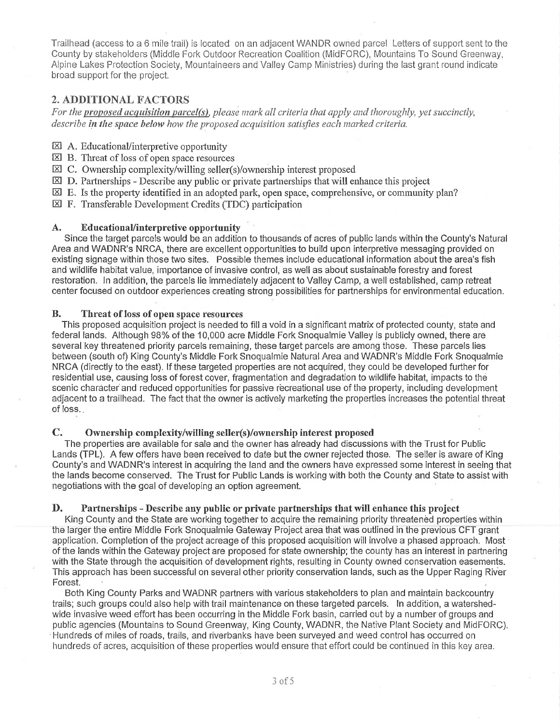Trailhead (access to a 6 mile trail) is located on an adiacent WANDR owned parcel Letters of support sent to the County by stakeholders (Middle Fork Outdoor Recreation Coalition (MidFORC), Mountains To Sound Greenway, Alpine Lakes Protection Society, Mountaineers and Valley Camp Ministries) during the last grant round indicate broad support for the project.

# 2. ADDITIONAL FACTORS

For the proposed acquisition parcel(s), please mark all criteria that apply and thoroughly, yet succinctly, describe in the space below how the proposed acquisition satisfies each marked criteria.

- $\boxtimes$  A. Educational/interpretive opportunity
- $\boxtimes$  B. Threat of loss of open space resources
- $\boxtimes$  C. Ownership complexity/willing seller(s)/ownership interest proposed
- $\boxtimes$  D. Partnerships Describe any public or private partnerships that will enhance this project
- $\boxtimes$  E. Is the property identified in an adopted park, open space, comprehensive, or community plan?

 $\boxtimes$  F. Transferable Development Credits (TDC) participation

#### **Educational/interpretive opportunity** A.

Since the target parcels would be an addition to thousands of acres of public lands within the County's Natural Area and WADNR's NRCA, there are excellent opportunities to build upon interpretive messaging provided on existing signage within those two sites. Possible themes include educational information about the area's fish and wildlife habitat value, importance of invasive control, as well as about sustainable forestry and forest restoration. In addition, the parcels lie immediately adjacent to Valley Camp, a well established, camp retreat center focused on outdoor experiences creating strong possibilities for partnerships for environmental education.

#### **B.** Threat of loss of open space resources

This proposed acquisition project is needed to fill a void in a significant matrix of protected county, state and federal lands. Although 98% of the 10,000 acre Middle Fork Snoqualmie Valley is publicly owned, there are several key threatened priority parcels remaining, these target parcels are among those. These parcels lies between (south of) King County's Middle Fork Snoqualmie Natural Area and WADNR's Middle Fork Snoqualmie NRCA (directly to the east). If these targeted properties are not acquired, they could be developed further for residential use, causing loss of forest cover, fragmentation and degradation to wildlife habitat, impacts to the scenic character and reduced opportunities for passive recreational use of the property, including development adjacent to a trailhead. The fact that the owner is actively marketing the properties increases the potential threat of loss.

#### $\mathbf{C}$ . Ownership complexity/willing seller(s)/ownership interest proposed

The properties are available for sale and the owner has already had discussions with the Trust for Public Lands (TPL). A few offers have been received to date but the owner rejected those. The seller is aware of King County's and WADNR's interest in acquiring the land and the owners have expressed some interest in seeing that the lands become conserved. The Trust for Public Lands is working with both the County and State to assist with negotiations with the goal of developing an option agreement.

#### D. Partnerships - Describe any public or private partnerships that will enhance this project

King County and the State are working together to acquire the remaining priority threatened properties within the larger the entire Middle Fork Snoqualmie Gateway Project area that was outlined in the previous CFT grant application. Completion of the project acreage of this proposed acquisition will involve a phased approach. Most of the lands within the Gateway project are proposed for state ownership; the county has an interest in partnering with the State through the acquisition of development rights, resulting in County owned conservation easements. This approach has been successful on several other priority conservation lands, such as the Upper Raging River Forest.

Both King County Parks and WADNR partners with various stakeholders to plan and maintain backcountry trails; such groups could also help with trail maintenance on these targeted parcels. In addition, a watershedwide invasive weed effort has been occurring in the Middle Fork basin, carried out by a number of groups and public agencies (Mountains to Sound Greenway, King County, WADNR, the Native Plant Society and MidFORC). Hundreds of miles of roads, trails, and riverbanks have been surveyed and weed control has occurred on hundreds of acres, acquisition of these properties would ensure that effort could be continued in this key area.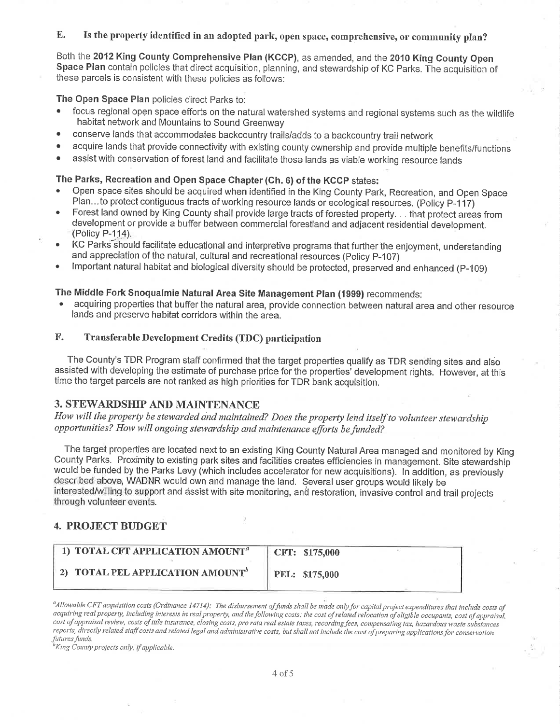### E. Is the property identified in an adopted park, open space, comprehensive, or community plan?

Both the 2012 King Gounty Comprehensive Plan (KCCP), as amended, and the 2010 King County Open Space Plan contain policies that direct acquisition, planning, and stewardship of KC Parks. The acquisition of these parcels is consistent with these policies as follows:

The Open Space Plan policies direct Parks to:

- focus regional open space efforts on the natural watershed systems and regional systems such as the wildlife habitat network and Mountains to Sound Greenway
- . conserve lands that accommodates backoountry trails/adds to a backcountry trail network
- acquire lands that provide connectivity with existing county ownership and provide multiple benefits/functions
- assist with conservation of forest land and facilitate those lands as viable working resource lands

### The Parks, Recreation and Open Space Chapter (Ch. 6) of the KCCP states:

- . Open space sites should be acquired when identified in the King Gounty Park, Recreation, and Open Space Plan...to protect contiguous tracts of working resource lands or ecological resources. (Policy P-117)
- . Forest land owned by King County shall provide large tracts of forested property. . . that protect areas from development or provide a buffer between commercial forestland and adjacent residential development. (Policy P-114).
- . KC Parks"should facilitate educational and interpretive programs that further the enjoyment, understanding and appreciation of the natural, cultural and recreational resources (Policy P-107)
- . lmportant natural habitat and biological diversity should be protected, preserved and enhanced (p-109)

## The Middle Fork Snoqualmie Natural Area Site Management Plan (1999) recommends:

. acquiring properties that buffer the natural area, provide connection between natural area and other resource lands and preserve habitat corridors within the area.

## F. Transferable Development Credits (TDC) participation

The County's TDR Program staff confirmed that the target properties qualify as TDR sending sites and also assisted with developing the estimate of purchase price for the properties' development rights. However, at this time the target parcels are not ranked as high príorities for TDR bank acquísition.

# 3. STEWARDSHIP AND MAINTENANCE

How will the property be stewarded and maintained? Does the property lend itself to volunteer stewardship opportunities? How will ongoing stewardship and maintenance efforts be funded?

The target properties are located next to an existing King County Natural Area managed and monitored by King County Parks. Proximity to existing park sites and facilities creates efficiencies in management. Site stewardship would be funded by the Parks Levy (which includes accelerator for new acquisitions). ln addition, as previously described above. WADNR would own and manage the land. Several user groups would likely be interested/willing to support and assist with site monitoring, and restoration, invasive control and trail projects<br>through volunteer events

### 4. PROJECT BUDGET

| 1) TOTAL CFT APPLICATION AMOUNT <sup>a</sup> | CFT: \$175,000 |  |
|----------------------------------------------|----------------|--|
| 2) TOTAL PEL APPLICATION AMOUNT <sup>b</sup> | PEL: \$175,000 |  |

"Allowable CFT acquisition costs (Ordinance 14714): The disbursement of funds shall be made only for capital project expenditures that include costs of acquiring real property, including interests in real property, and the following costs: the cost of related relocation of eligible occupants, cost of appraisal, cost of appraisal review, costs of title insurance, closing costs, pro rata real estate taxes, recording fees, compensating lax, hazardous waste substances reports, directly related staff costs and related legal and administrative costs, but shall not include the cost of preparing applications for conservation futures funds.<br><sup>h</sup>King County projects only, if applicable.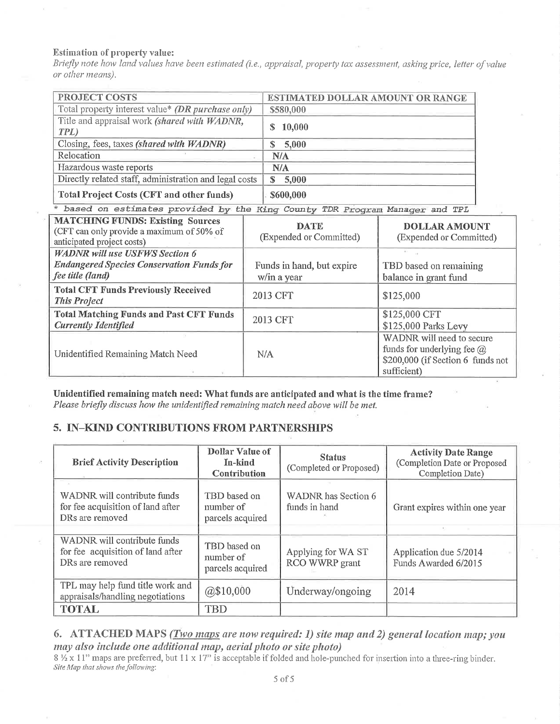### **Estimation of property value:**

Briefly note how land values have been estimated (i.e., appraisal, property tax assessment, asking price, letter of value or other means).

| <b>PROJECT COSTS</b>                                                                                               |          | ESTIMATED DOLLAR AMOUNT OR RANGE         |                                                                                                                    |  |
|--------------------------------------------------------------------------------------------------------------------|----------|------------------------------------------|--------------------------------------------------------------------------------------------------------------------|--|
| Total property interest value* (DR purchase only)                                                                  |          | \$580,000                                |                                                                                                                    |  |
| Title and appraisal work (shared with WADNR,<br>TPL)                                                               |          | 10,000<br>S                              |                                                                                                                    |  |
| Closing, fees, taxes (shared with WADNR)                                                                           |          | 5,000<br>\$                              |                                                                                                                    |  |
| Relocation                                                                                                         |          | N/A                                      |                                                                                                                    |  |
| Hazardous waste reports                                                                                            |          | N/A                                      |                                                                                                                    |  |
| Directly related staff, administration and legal costs                                                             |          | 5,000<br>S.                              |                                                                                                                    |  |
| <b>Total Project Costs (CFT and other funds)</b>                                                                   |          | \$600,000                                |                                                                                                                    |  |
| * based on estimates provided by the King County TDR Program Manager and TPL                                       |          |                                          |                                                                                                                    |  |
| <b>MATCHING FUNDS: Existing Sources</b><br>(CFT can only provide a maximum of 50% of<br>anticipated project costs) |          | <b>DATE</b><br>(Expended or Committed)   | <b>DOLLAR AMOUNT</b><br>(Expended or Committed)                                                                    |  |
| <b>WADNR</b> will use USFWS Section 6                                                                              |          |                                          |                                                                                                                    |  |
| <b>Endangered Species Conservation Funds for</b><br>fee title (land)                                               |          | Funds in hand, but expire<br>w/in a year | TBD based on remaining<br>balance in grant fund                                                                    |  |
| <b>Total CFT Funds Previously Received</b><br><b>This Project</b>                                                  |          | 2013 CFT                                 | \$125,000                                                                                                          |  |
| <b>Total Matching Funds and Past CFT Funds</b><br><b>Currently Identified</b>                                      | 2013 CFT |                                          | \$125,000 CFT<br>\$125,000 Parks Levy                                                                              |  |
| Unidentified Remaining Match Need                                                                                  |          | N/A                                      | WADNR will need to secure<br>funds for underlying fee $\omega$<br>\$200,000 (if Section 6 funds not<br>sufficient) |  |

Unidentified remaining match need: What funds are anticipated and what is the time frame? Please briefly discuss how the unidentified remaining match need above will be met.

# 5. IN-KIND CONTRIBUTIONS FROM PARTNERSHIPS

| <b>Brief Activity Description</b>                                                   | Dollar Value of<br>In-kind<br>Contribution    | <b>Status</b><br>(Completed or Proposed) | <b>Activity Date Range</b><br>(Completion Date or Proposed<br>Completion Date) |
|-------------------------------------------------------------------------------------|-----------------------------------------------|------------------------------------------|--------------------------------------------------------------------------------|
| WADNR will contribute funds<br>for fee acquisition of land after<br>DRs are removed | TBD based on<br>number of<br>parcels acquired | WADNR has Section 6<br>funds in hand     | Grant expires within one year                                                  |
| WADNR will contribute funds<br>for fee acquisition of land after<br>DRs are removed | TBD based on<br>number of<br>parcels acquired | Applying for WA ST<br>RCO WWRP grant     | Application due 5/2014<br>Funds Awarded 6/2015                                 |
| TPL may help fund title work and<br>appraisals/handling negotiations                | @\$10,000                                     | Underway/ongoing                         | 2014                                                                           |
| <b>TOTAL</b>                                                                        | TBD                                           |                                          |                                                                                |

6. ATTACHED MAPS (Two maps are now required: 1) site map and 2) general location map; you may also include one additional map, aerial photo or site photo)

8 1/2 x 11" maps are preferred, but 11 x 17" is acceptable if folded and hole-punched for insertion into a three-ring binder. Site Map that shows the following: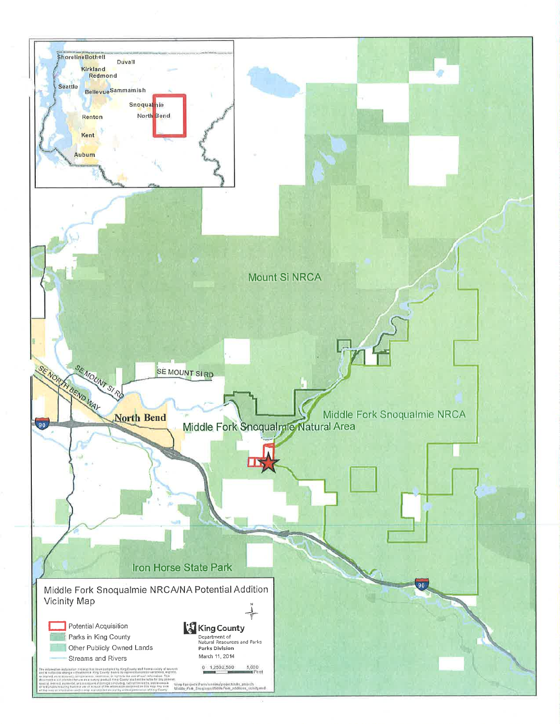